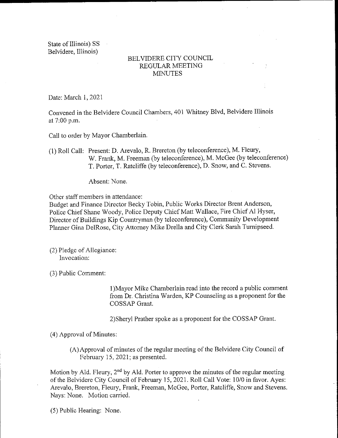State of Illinois) SS Belvidere, Illinois)

## BELVIDERE CITY COUNCIL REGULAR MEETING MINUTES

Date: March 1, 2021

Convened in the Belvidere Council Chambers, 401 Whitney Blvd, Belvidere Illinois at 7:00 p.m.

Call to order by Mayor Chamberlain.

1) Roll Call: Present: D. Arevalo, R. Brereton( by teleconference), M. Fleury, W. Frank, M. Freeman (by teleconference), M. McGee (by teleconference) T. Porter, T. Ratcliffe ( by teleconference), D. Snow, and C. Stevens.

Absent: None.

Other staff members in attendance:

Budget and Finance Director Becky Tobin, Public Works Director Brent Anderson, Police Chief Shane Woody, Police Deputy Chief Matt Wallace, Fire Chief Al Hyser, Director of Buildings Kip Countryman ( by teleconference), Community Development Planner Gina DelRose, City Attorney Mike Drella and City Clerk Sarah Turnipseed.

2) Pledge of Allegiance: Invocation:

3) Public Comment:

1) Mayor Mike Chamberlain read into the record a public comment from Dr. Christina Warden, KP Counseling as <sup>a</sup> proponent for the COSSAP Grant.

2) Sheryl Prather spoke as a proponent for the COSSAP Grant.

4) Approval of Minutes:

A) Approval of minutes of the regular meeting of the Belvidere City Council of February 15, 2021; as presented.

Motion by Ald. Fleury,  $2<sup>nd</sup>$  by Ald. Porter to approve the minutes of the regular meeting of the Belvidere City Council of February 15, 2021. Roll Call Vote: 10/0 in favor. Ayes: Arevalo, Brereton, Fleury, Frank, Freeman, McGee, Porter, Ratcliffe, Snow and Stevens. Nays: None. Motion carried.

5) Public Hearing: None.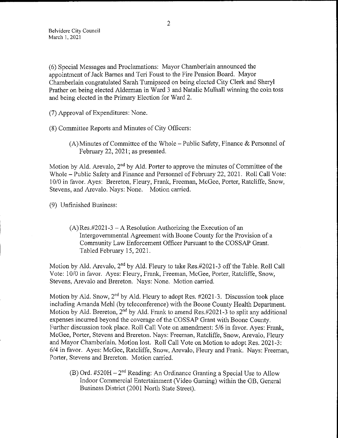6) Special Messages and Proclamations: Mayor Chamberlain announced the appointment of Jack Barnes and Teri Foust to the Fire Pension Board. Mayor Chamberlain congratulated Sarah Turnipseed on being elected City Clerk and Sheryl Prather on being elected Alderman in Ward <sup>3</sup> and Natalie Mulhall winning the coin toss and being elected in the Primary Election for Ward 2.

(7) Approval of Expenditures: None.

8) Committee Reports and Minutes of City Officers:

A) Minutes of Committee of the Whole— Public Safety, Finance & Personnel of February 22, 2021; as presented.

Motion by Ald. Arevalo,  $2<sup>nd</sup>$  by Ald. Porter to approve the minutes of Committee of the Whole— Public Safety and Finance and Personnel of February 22, 2021. Roll Call Vote: 10/0 in favor. Ayes: Brereton, Fleury, Frank, Freeman, McGee, Porter, Ratcliffe, Snow, Stevens, and Arevalo. Nays: None. Motion carried.

9) Unfinished Business:

 $(A)$  Res. #2021-3 – A Resolution Authorizing the Execution of an Intergovernmental Agreement with Boone County for the Provision of a Community Law Enforcement Officer Pursuant to the COSSAP Grant. Tabled February 15, 2021.

Motion by Ald. Arevalo,  $2<sup>nd</sup>$  by Ald. Fleury to take Res. #2021-3 off the Table. Roll Call Vote: 10/0 in favor. Ayes: Fleury, Frank, Freeman, McGee, Porter, Ratcliffe, Snow, Stevens, Arevalo and Brereton. Nays: None. Motion carried.

Motion by Ald. Snow,  $2^{nd}$  by Ald. Fleury to adopt Res.  $\#2021-3$ . Discussion took place including Amanda Mehl ( by teleconference) with the Boone County Health Department. Motion by Ald. Brereton,  $2^{nd}$  by Ald. Frank to amend Res.#2021-3 to split any additional expenses incurred beyond the coverage of the COSSAP Grant with Boone County. Further discussion took place. Roll Call Vote on amendment: 5/6 in favor. Ayes: Frank, McGee, Porter, Stevens and Brereton. Nays: Freeman, Ratcliffe, Snow, Arevalo, Fleury and Mayor Chamberlain. Motion lost. Roll Call Vote on Motion to adopt Res. 2021-3: 6/4 in favor. Ayes: McGee, Ratcliffe, Snow, Arevalo, Fleury and Frank. Nays: Freeman, Porter, Stevens and Brereton. Motion carried.

 $(B)$  Ord. #520H – 2<sup>nd</sup> Reading: An Ordinance Granting a Special Use to Allow Indoor Commercial Entertainment ( Video Gaming) within the GB, General Business District (2001 North State Street).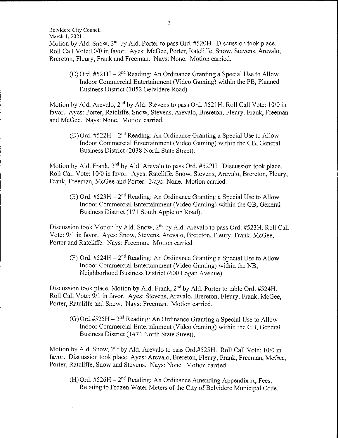Belvidere City Council

March 1, 2021

Motion by Ald. Snow,  $2<sup>nd</sup>$  by Ald. Porter to pass Ord. #520H. Discussion took place. Roll Call Vote: 10/0 in favor. Ayes: McGee, Porter, Ratcliffe, Snow, Stevens, Arevalo, Brereton, Fleury, Frank and Freeman. Nays: None. Motion carried.

(C) Ord.  $#521H - 2^{nd}$  Reading: An Ordinance Granting a Special Use to Allow Indoor Commercial Entertainment( Video Gaming) within the PB, Planned Business District ( 1052 Belvidere Road).

Motion by Ald. Arevalo,  $2<sup>nd</sup>$  by Ald. Stevens to pass Ord. #521H. Roll Call Vote: 10/0 in favor. Ayes: Porter, Ratcliffe, Snow, Stevens, Arevalo, Brereton, Fleury, Frank, Freeman and McGee. Nays: None. Motion carried.

(D) Ord.  $#522H - 2^{nd}$  Reading: An Ordinance Granting a Special Use to Allow Indoor Commercial Entertainment ( Video Gaming) within the GB, General Business District (2038 North State Street).

Motion by Ald. Frank, 2<sup>nd</sup> by Ald. Arevalo to pass Ord. #522H. Discussion took place. Roll Call Vote: 10/0 in favor. Ayes: Ratcliffe, Snow, Stevens, Arevalo, Brereton, Fleury, Frank, Freeman, McGee and Porter. Nays: None. Motion carried.

 $(E)$  Ord. #523H – 2<sup>nd</sup> Reading: An Ordinance Granting a Special Use to Allow Indoor Commercial Entertainment ( Video Gaming) within the GB, General Business District (171 South Appleton Road).

Discussion took Motion by Ald. Snow, 2<sup>nd</sup> by Ald. Arevalo to pass Ord. #523H. Roll Call Vote: 9/1 in favor. Ayes: Snow, Stevens, Arevalo, Brereton, Fleury, Frank, McGee, Porter and Ratcliffe. Nays: Freeman. Motion carried.

(F) Ord.  $#524H - 2<sup>nd</sup>$  Reading: An Ordinance Granting a Special Use to Allow Indoor Commercial Entertainment ( Video Gaming) within the NB, Neighborhood Business District (600 Logan Avenue).

Discussion took place. Motion by Ald. Frank, 2<sup>nd</sup> by Ald. Porter to table Ord. #524H. Roll Call Vote: 9/1 in favor. Ayes: Stevens, Arevalo, Brereton, Fleury, Frank, McGee, Porter, Ratcliffe and Snow. Nays: Freeman. Motion carried.

 $(G)$  Ord.#525H – 2<sup>nd</sup> Reading: An Ordinance Granting a Special Use to Allow Indoor Commercial Entertainment ( Video Gaming) within the GB, General Business District (1474 North State Street).

Motion by Ald. Snow, 2<sup>nd</sup> by Ald. Arevalo to pass Ord.#525H. Roll Call Vote: 10/0 in favor. Discussion took place. Ayes: Arevalo, Brereton, Fleury, Frank, Freeman, McGee, Porter, Ratcliffe, Snow and Stevens. Nays: None. Motion carried.

(H) Ord.  $#526H - 2^{nd}$  Reading: An Ordinance Amending Appendix A, Fees, Relating to Frozen Water Meters of the City of Belvidere Municipal Code.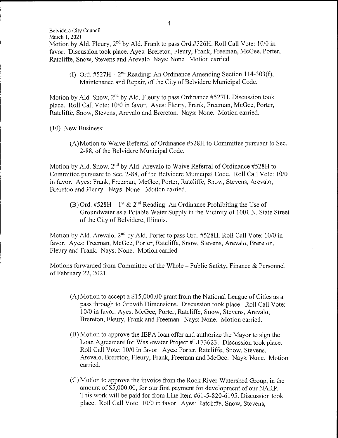March 1, 2021 Motion by Ald. Fleury,  $2<sup>nd</sup>$  by Ald. Frank to pass Ord.#526H. Roll Call Vote: 10/0 in favor. Discussion took place. Ayes: Brereton, Fleury, Frank, Freeman, McGee, Porter, Ratcliffe, Snow, Stevens and Arevalo. Nays: None. Motion carried.

(I) Ord.  $\#527H - 2^{nd}$  Reading: An Ordinance Amending Section 114-303(f), Maintenance and Repair, of the City of Belvidere Municipal Code.

Motion by Ald. Snow,  $2<sup>nd</sup>$  by Ald. Fleury to pass Ordinance #527H. Discussion took place. Roll Call Vote: 10/0 in favor. Ayes: Fleury, Frank, Freeman, McGee, Porter, Ratcliffe, Snow, Stevens, Arevalo and Brereton. Nays: None. Motion carried.

10) New Business:

Belvidere City Council

A) Motion to Waive Referral of Ordinance# 528H to Committee pursuant to Sec. 2- 88, of the Belvidere Municipal Code.

Motion by Ald. Snow,  $2<sup>nd</sup>$  by Ald. Arevalo to Waive Referral of Ordinance #528H to Committee pursuant to Sec. 2-88, of the Belvidere Municipal Code. Roll Call Vote: 10/0 in favor. Ayes: Frank, Freeman, McGee, Porter, Ratcliffe, Snow, Stevens, Arevalo, Brereton and Fleury. Nays: None. Motion carried.

(B) Ord. #528H – 1<sup>st</sup> & 2<sup>nd</sup> Reading: An Ordinance Prohibiting the Use of Groundwater as a Potable Water Supply in the Vicinity of 1001 N. State Street of the City of Belvidere, Illinois.

Motion by Ald. Arevalo,  $2<sup>nd</sup>$  by Ald. Porter to pass Ord. #528H. Roll Call Vote: 10/0 in favor. Ayes: Freeman, McGee, Porter, Ratcliffe, Snow, Stevens, Arevalo, Brereton, Fleury and Frank. Nays: None. Motion carried

Motions forwarded from Committee of the Whole— Public Safety, Finance & Personnel of February 22, 2021.

- $(A)$  Motion to accept a \$15,000.00 grant from the National League of Cities as a pass through to Growth Dimensions. Discussion took place. Roll Call Vote: 10/0 in favor. Ayes: McGee, Porter, Ratcliffe, Snow, Stevens, Arevalo, Brereton, Fleury, Frank and Freeman. Nays: None. Motion carried.
- B) Motion to approve the IEPA loan offer and authorize the Mayor to sign the Loan Agreement for Wastewater Project #L173623. Discussion took place. Roll Call Vote: 10/0 in favor. Ayes: Porter, Ratcliffe, Snow, Stevens, Arevalo, Brereton, Fleury, Frank, Freeman and McGee. Nays: None. Motion carried.
- C) Motion to approve the invoice from the Rock River Watershed Group, in the amount of \$5,000.00, for our first payment for development of our NARP. This work will be paid for from Line Item #61-5-820-6195. Discussion took place. Roll Call Vote: 10/0 in favor. Ayes: Ratcliffe, Snow, Stevens,